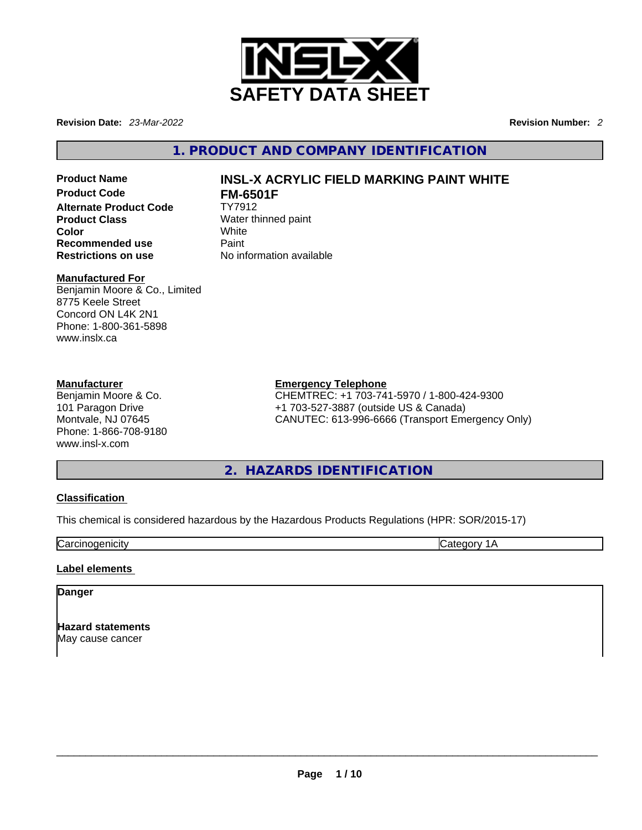

**Revision Date:** *23-Mar-2022* **Revision Number:** *2*

**1. PRODUCT AND COMPANY IDENTIFICATION** 

# **Alternate Product Code**<br>Product Class **Product Class Water thinned paint**<br> **Color White Color** White **Recommended use** Paint<br> **Restrictions on use** No inf

## **Product Name INSL-X ACRYLIC FIELD MARKING PAINT WHITE FM-6501F**<br>TY7912

**No information available** 

#### **Manufactured For**

Benjamin Moore & Co., Limited 8775 Keele Street Concord ON L4K 2N1 Phone: 1-800-361-5898 www.inslx.ca

#### **Manufacturer**

Benjamin Moore & Co. 101 Paragon Drive Montvale, NJ 07645 Phone: 1-866-708-9180 www.insl-x.com

#### **Emergency Telephone**

CHEMTREC: +1 703-741-5970 / 1-800-424-9300 +1 703-527-3887 (outside US & Canada) CANUTEC: 613-996-6666 (Transport Emergency Only)

## **2. HAZARDS IDENTIFICATION**

#### **Classification**

This chemical is considered hazardous by the Hazardous Products Regulations (HPR: SOR/2015-17)

**Carcinogenicity** Category 1A

#### **Label elements**

#### **Danger**

**Hazard statements** May cause cancer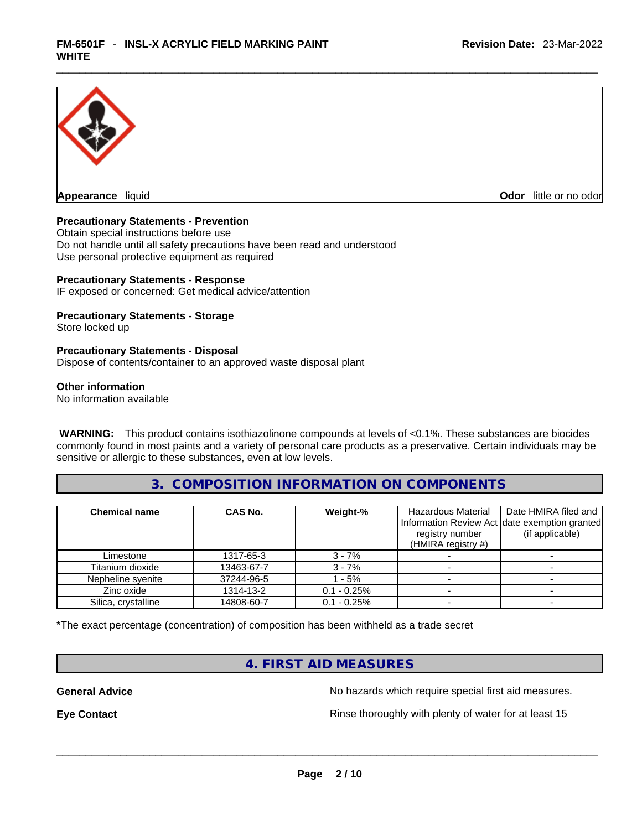

**Odor** little or no odor

#### **Precautionary Statements - Prevention**

Obtain special instructions before use Do not handle until all safety precautions have been read and understood Use personal protective equipment as required

#### **Precautionary Statements - Response**

IF exposed or concerned: Get medical advice/attention

#### **Precautionary Statements - Storage**

Store locked up

#### **Precautionary Statements - Disposal**

Dispose of contents/container to an approved waste disposal plant

#### **Other information**

No information available

 **WARNING:** This product contains isothiazolinone compounds at levels of <0.1%. These substances are biocides commonly found in most paints and a variety of personal care products as a preservative. Certain individuals may be sensitive or allergic to these substances, even at low levels.

#### **3. COMPOSITION INFORMATION ON COMPONENTS**

| <b>Chemical name</b> | <b>CAS No.</b> | Weight-%       | Hazardous Material<br>registry number<br>(HMIRA registry $#$ ) | Date HMIRA filed and<br>Information Review Act Idate exemption granted<br>(if applicable) |
|----------------------|----------------|----------------|----------------------------------------------------------------|-------------------------------------------------------------------------------------------|
| Limestone            | 1317-65-3      | $3 - 7%$       |                                                                |                                                                                           |
| Titanium dioxide     | 13463-67-7     | $3 - 7%$       |                                                                |                                                                                           |
| Nepheline syenite    | 37244-96-5     | - 5%           |                                                                |                                                                                           |
| Zinc oxide           | 1314-13-2      | $0.1 - 0.25\%$ |                                                                |                                                                                           |
| Silica, crystalline  | 14808-60-7     | $0.1 - 0.25%$  |                                                                |                                                                                           |

\*The exact percentage (concentration) of composition has been withheld as a trade secret

#### **4. FIRST AID MEASURES**

**General Advice No hazards which require special first aid measures.** No hazards which require special first aid measures.

**Eye Contact <b>Rinse** thoroughly with plenty of water for at least 15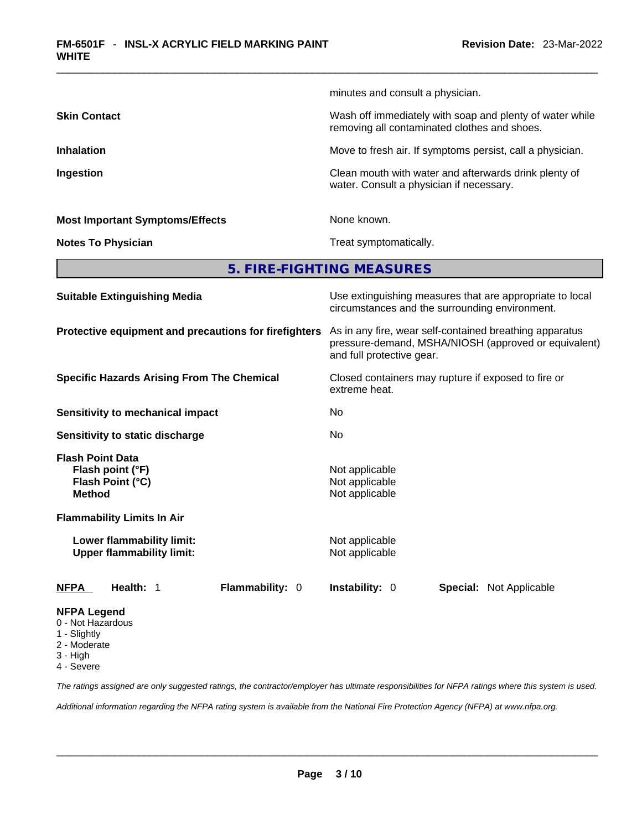|                                                                                  | minutes and consult a physician.                                                                                                                                                                                                                                           |  |  |
|----------------------------------------------------------------------------------|----------------------------------------------------------------------------------------------------------------------------------------------------------------------------------------------------------------------------------------------------------------------------|--|--|
| <b>Skin Contact</b>                                                              | Wash off immediately with soap and plenty of water while<br>removing all contaminated clothes and shoes.<br>Move to fresh air. If symptoms persist, call a physician.<br>Clean mouth with water and afterwards drink plenty of<br>water. Consult a physician if necessary. |  |  |
| <b>Inhalation</b>                                                                |                                                                                                                                                                                                                                                                            |  |  |
| Ingestion                                                                        |                                                                                                                                                                                                                                                                            |  |  |
| <b>Most Important Symptoms/Effects</b>                                           | None known.                                                                                                                                                                                                                                                                |  |  |
| <b>Notes To Physician</b>                                                        | Treat symptomatically.                                                                                                                                                                                                                                                     |  |  |
|                                                                                  | 5. FIRE-FIGHTING MEASURES                                                                                                                                                                                                                                                  |  |  |
| <b>Suitable Extinguishing Media</b>                                              | Use extinguishing measures that are appropriate to local<br>circumstances and the surrounding environment.                                                                                                                                                                 |  |  |
| Protective equipment and precautions for firefighters                            | As in any fire, wear self-contained breathing apparatus<br>pressure-demand, MSHA/NIOSH (approved or equivalent)<br>and full protective gear.<br>Closed containers may rupture if exposed to fire or<br>extreme heat.                                                       |  |  |
| <b>Specific Hazards Arising From The Chemical</b>                                |                                                                                                                                                                                                                                                                            |  |  |
| <b>Sensitivity to mechanical impact</b>                                          | No                                                                                                                                                                                                                                                                         |  |  |
| Sensitivity to static discharge                                                  | No                                                                                                                                                                                                                                                                         |  |  |
| <b>Flash Point Data</b><br>Flash point (°F)<br>Flash Point (°C)<br><b>Method</b> | Not applicable<br>Not applicable<br>Not applicable                                                                                                                                                                                                                         |  |  |
| <b>Flammability Limits In Air</b>                                                |                                                                                                                                                                                                                                                                            |  |  |
| Lower flammability limit:<br><b>Upper flammability limit:</b>                    | Not applicable<br>Not applicable                                                                                                                                                                                                                                           |  |  |
| Health: 1<br>Flammability: 0<br><b>NFPA</b>                                      | Instability: 0<br>Special: Not Applicable                                                                                                                                                                                                                                  |  |  |
| <b>NFPA Legend</b><br>0 - Not Hazardous<br>1 - Slightly<br>2 - Moderate          |                                                                                                                                                                                                                                                                            |  |  |

- $3 High$
- 4 Severe

*The ratings assigned are only suggested ratings, the contractor/employer has ultimate responsibilities for NFPA ratings where this system is used.* 

*Additional information regarding the NFPA rating system is available from the National Fire Protection Agency (NFPA) at www.nfpa.org.*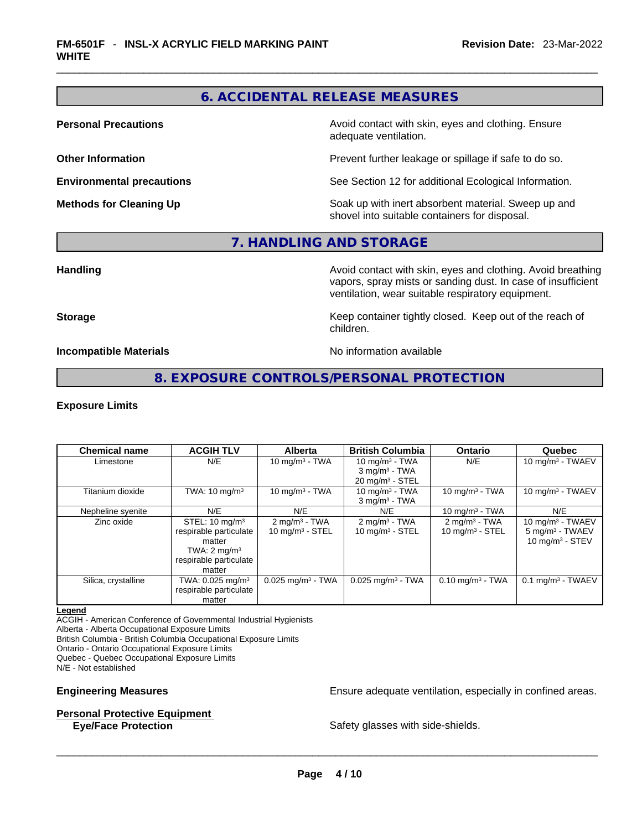## **6. ACCIDENTAL RELEASE MEASURES**

**Personal Precautions Avoid contact with skin, eyes and clothing. Ensure Personal Precautions** adequate ventilation.

**Other Information Discription Prevent further leakage or spillage if safe to do so.** 

**Environmental precautions** See Section 12 for additional Ecological Information.

**Methods for Cleaning Up Example 20 Soak** up with inert absorbent material. Sweep up and shovel into suitable containers for disposal.

#### **7. HANDLING AND STORAGE**

**Handling <b>Avoid contact with skin, eyes and clothing.** Avoid breathing and all the sking and clothing. Avoid breathing vapors, spray mists or sanding dust. In case of insufficient ventilation, wear suitable respiratory equipment.

**Storage Storage Keep container tightly closed. Keep out of the reach of <b>Storage Keep** out of the reach of children.

**Incompatible Materials Materials** No information available

**8. EXPOSURE CONTROLS/PERSONAL PROTECTION** 

#### **Exposure Limits**

| <b>Chemical name</b> | <b>ACGIH TLV</b>                                                                                                             | <b>Alberta</b>                                         | <b>British Columbia</b>                                                           | <b>Ontario</b>                                | Quebec                                                                   |
|----------------------|------------------------------------------------------------------------------------------------------------------------------|--------------------------------------------------------|-----------------------------------------------------------------------------------|-----------------------------------------------|--------------------------------------------------------------------------|
| Limestone            | N/E                                                                                                                          | 10 mg/m $3$ - TWA                                      | 10 mg/m $3$ - TWA<br>$3$ mg/m <sup>3</sup> - TWA<br>$20$ mg/m <sup>3</sup> - STEL | N/E                                           | 10 mg/m $3$ - TWAEV                                                      |
| Titanium dioxide     | TWA: $10 \text{ mg/m}^3$                                                                                                     | 10 mg/m $3$ - TWA                                      | 10 mg/m $3$ - TWA<br>$3$ mg/m <sup>3</sup> - TWA                                  | 10 mg/m $3$ - TWA                             | 10 mg/m $3$ - TWAEV                                                      |
| Nepheline syenite    | N/E                                                                                                                          | N/E                                                    | N/E                                                                               | 10 mg/m $3$ - TWA                             | N/E                                                                      |
| Zinc oxide           | STEL: $10 \text{ mg/m}^3$<br>respirable particulate<br>matter<br>TWA: $2 \text{ mg/m}^3$<br>respirable particulate<br>matter | $2 \text{ mg/m}^3$ - TWA<br>$10 \text{ mg/m}^3$ - STEL | $2 \text{ mg/m}^3$ - TWA<br>$10 \text{ mg/m}^3$ - STEL                            | $2 \text{mq/m}^3$ - TWA<br>10 mg/m $3 -$ STEL | 10 mg/m $3$ - TWAEV<br>5 mg/m <sup>3</sup> - TWAEV<br>10 mg/m $3 -$ STEV |
| Silica, crystalline  | TWA: $0.025$ mg/m <sup>3</sup><br>respirable particulate<br>matter                                                           | $0.025$ mg/m <sup>3</sup> - TWA                        | $0.025$ mg/m <sup>3</sup> - TWA                                                   | $0.10$ mg/m $3$ - TWA                         | $0.1$ mg/m <sup>3</sup> - TWAEV                                          |

#### **Legend**

ACGIH - American Conference of Governmental Industrial Hygienists Alberta - Alberta Occupational Exposure Limits

British Columbia - British Columbia Occupational Exposure Limits

Ontario - Ontario Occupational Exposure Limits

Quebec - Quebec Occupational Exposure Limits

N/E - Not established

#### **Personal Protective Equipment**

**Engineering Measures Ensure** Ensure adequate ventilation, especially in confined areas.

**Eye/Face Protection** Safety glasses with side-shields. \_\_\_\_\_\_\_\_\_\_\_\_\_\_\_\_\_\_\_\_\_\_\_\_\_\_\_\_\_\_\_\_\_\_\_\_\_\_\_\_\_\_\_\_\_\_\_\_\_\_\_\_\_\_\_\_\_\_\_\_\_\_\_\_\_\_\_\_\_\_\_\_\_\_\_\_\_\_\_\_\_\_\_\_\_\_\_\_\_\_\_\_\_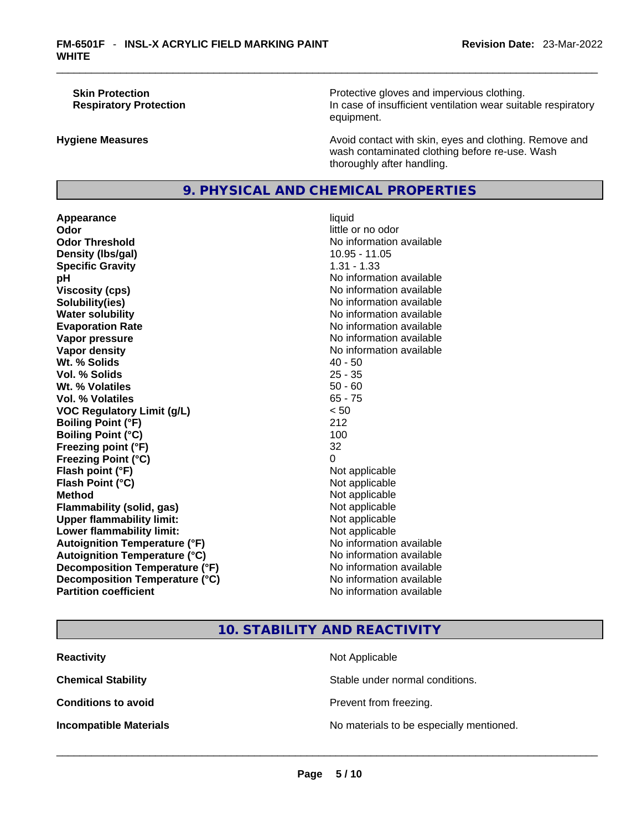**Skin Protection Protection Protective gloves and impervious clothing. Respiratory Protection In case of insufficient ventilation wear suitable respiratory** equipment.

**Hygiene Measures Avoid contact with skin, eyes and clothing. Remove and Avoid contact with skin, eyes and clothing. Remove and** wash contaminated clothing before re-use. Wash thoroughly after handling.

### **9. PHYSICAL AND CHEMICAL PROPERTIES**

**Appearance** liquid **Odor Odor Odor Odor Odor Odor** *little or no odor little or no odor* **Odor Threshold** No information available **Density** (Ibs/gal) 10.95 - 11.05 **Specific Gravity** 1.31 - 1.33 **pH pH** *No* information available **Viscosity (cps) No information available No** information available **Solubility(ies)** No information available in the solution of the solution of the solution available in the solution of the solution of the solution of the solution of the solution of the solution of the solution of the so **Water solubility No information available No information available Evaporation Rate No information available No information available Vapor pressure No information available No information available Vapor density No information available No information available Wt. % Solids** 40 - 50 **Vol. % Solids** 25 - 35 **Wt. % Volatiles Vol. % Volatiles** 65 - 75 **VOC Regulatory Limit (g/L)** < 50 **Boiling Point (°F)** 212 **Boiling Point (°C)** 100 **Freezing point (°F)** 32 **Freezing Point (°C)** 0 **Flash point (°F)** Not applicable **Flash Point (°C)** Not applicable **Method**<br> **Plammability (solid, gas)**<br> **Commability (solid, gas)**<br> **Not** applicable **Flammability (solid, gas)** Not applicable Not applicable<br>
Upper flammability limit: Not applicable **Upper flammability limit:**<br> **Lower flammability limit:**<br>
Not applicable<br>
Not applicable **Lower flammability limit:**<br> **Autoignition Temperature (°F)** Not applicable Not applicable in the Muslim Muslim Available **Autoignition Temperature (°F)**<br> **Autoignition Temperature (°C)** No information available **Autoignition Temperature (°C) Decomposition Temperature (°F)** No information available **Decomposition Temperature (°C)** No information available **Partition coefficient** No information available

## **10. STABILITY AND REACTIVITY**

| <b>Reactivity</b>             | Not Applicable                           |
|-------------------------------|------------------------------------------|
| <b>Chemical Stability</b>     | Stable under normal conditions.          |
| <b>Conditions to avoid</b>    | Prevent from freezing.                   |
| <b>Incompatible Materials</b> | No materials to be especially mentioned. |
|                               |                                          |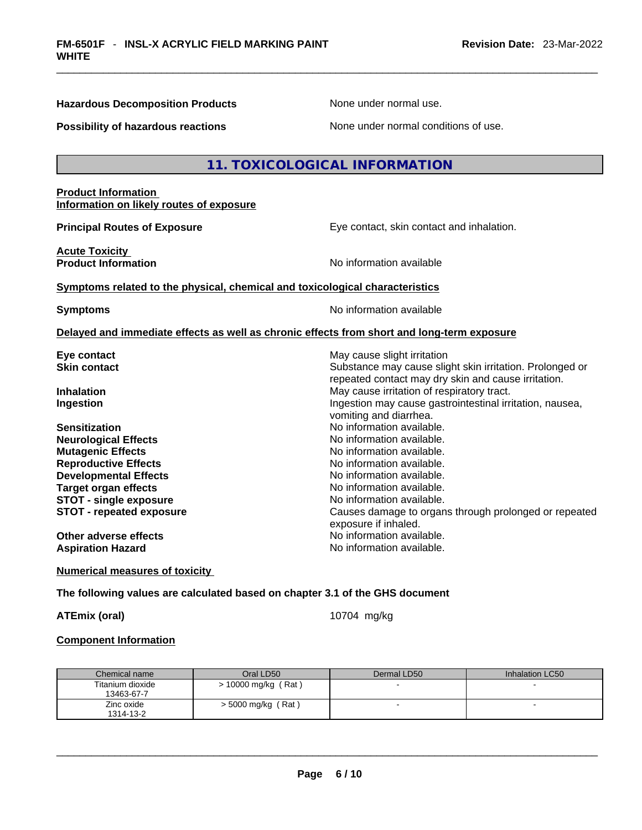**Hazardous Decomposition Products** None under normal use.

**Possibility of hazardous reactions** None under normal conditions of use.

#### **11. TOXICOLOGICAL INFORMATION**

#### **Product Information Information on likely routes of exposure**

**Acute Toxicity** 

**Principal Routes of Exposure Exposure** Eye contact, skin contact and inhalation.

Substance may cause slight skin irritation. Prolonged or repeated contact may dry skin and cause irritation.

**Product Information Integral Contract Contract Contract Contract Contract Contract Contract Contract Contract Contract Contract Contract Contract Contract Contract Contract Contract Contract Contract Contract Contract C** 

#### **Symptoms** related to the physical, chemical and toxicological characteristics

**Symptoms Symptoms No information available** 

vomiting and diarrhea.

exposure if inhaled.<br>No information available.

#### **Delayed and immediate effects as well as chronic effects from short and long-term exposure**

**Eye contact <b>Executes** Contact **Contact Contact Contact Contact Contact Contact Contact Contact Contact Contact Contact Contact Contact Contact Contact Contact Contact Contact Contact Contact Contact Contact Contact Conta** 

**Inhalation Inhalation Inhalation May cause irritation of respiratory tract. Ingestion Ingestion Index is a linear in the line of the line of the line of the line of the line of the line of the line of the line of the line of the line of the line of the line of the line of the line of the line** 

**Sensitization Sensitization No information available. Neurological Effects** Noinformation available. **Mutagenic Effects No information available. Reproductive Effects No information available.** No information available. **Developmental Effects No information available. Target organ effects No information available.** No information available. **STOT** - single exposure **No information available. STOT - repeated exposure** *Causes damage to organs through prolonged or repeated* 

**Other adverse effects** Aspiration Hazard **Aspiration Hazard No information available.** 

**Numerical measures of toxicity**

#### **The following values are calculated based on chapter 3.1 of the GHS document**

**ATEmix (oral)** 10704 mg/kg

#### **Component Information**

| Chemical name    | Oral LD50             | Dermal LD50 | Inhalation LC50 |
|------------------|-----------------------|-------------|-----------------|
| Titanium dioxide | $> 10000$ mg/kg (Rat) |             |                 |
| 13463-67-7       |                       |             |                 |
| Zinc oxide       | $>$ 5000 mg/kg (Rat)  |             |                 |
| 1314-13-2        |                       |             |                 |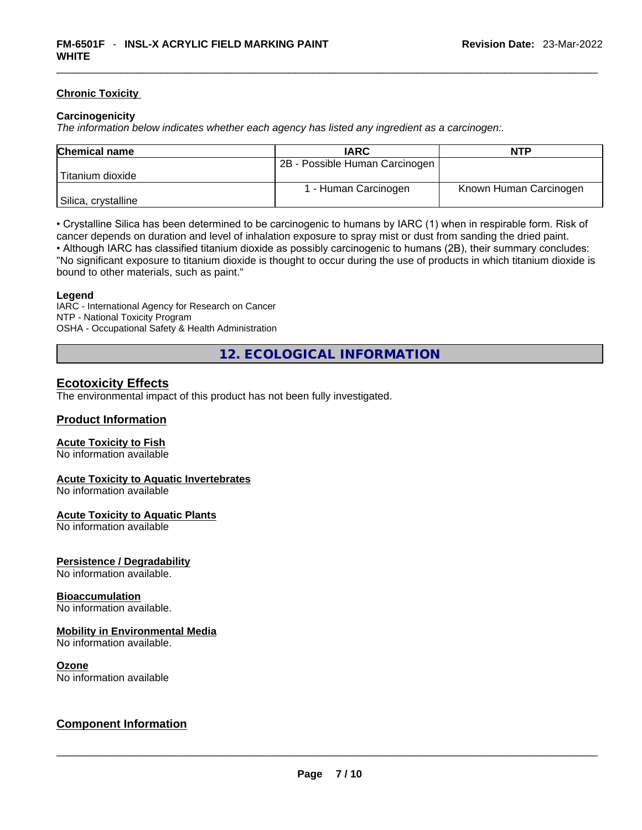#### **Chronic Toxicity**

#### **Carcinogenicity**

*The information below indicates whether each agency has listed any ingredient as a carcinogen:.* 

| <b>Chemical name</b> | <b>IARC</b>                    | <b>NTP</b>             |
|----------------------|--------------------------------|------------------------|
|                      | 2B - Possible Human Carcinogen |                        |
| Titanium dioxide     |                                |                        |
|                      | 1 - Human Carcinogen           | Known Human Carcinogen |
| Silica, crystalline  |                                |                        |

• Crystalline Silica has been determined to be carcinogenic to humans by IARC (1) when in respirable form. Risk of cancer depends on duration and level of inhalation exposure to spray mist or dust from sanding the dried paint.

• Although IARC has classified titanium dioxide as possibly carcinogenic to humans (2B), their summary concludes: "No significant exposure to titanium dioxide is thought to occur during the use of products in which titanium dioxide is bound to other materials, such as paint."

#### **Legend**

IARC - International Agency for Research on Cancer NTP - National Toxicity Program OSHA - Occupational Safety & Health Administration

**12. ECOLOGICAL INFORMATION** 

#### **Ecotoxicity Effects**

The environmental impact of this product has not been fully investigated.

#### **Product Information**

#### **Acute Toxicity to Fish**

No information available

#### **Acute Toxicity to Aquatic Invertebrates**

No information available

#### **Acute Toxicity to Aquatic Plants**

No information available

#### **Persistence / Degradability**

No information available.

#### **Bioaccumulation**

No information available.

#### **Mobility in Environmental Media**

No information available.

#### **Ozone**

# No information available \_\_\_\_\_\_\_\_\_\_\_\_\_\_\_\_\_\_\_\_\_\_\_\_\_\_\_\_\_\_\_\_\_\_\_\_\_\_\_\_\_\_\_\_\_\_\_\_\_\_\_\_\_\_\_\_\_\_\_\_\_\_\_\_\_\_\_\_\_\_\_\_\_\_\_\_\_\_\_\_\_\_\_\_\_\_\_\_\_\_\_\_\_ **Component Information**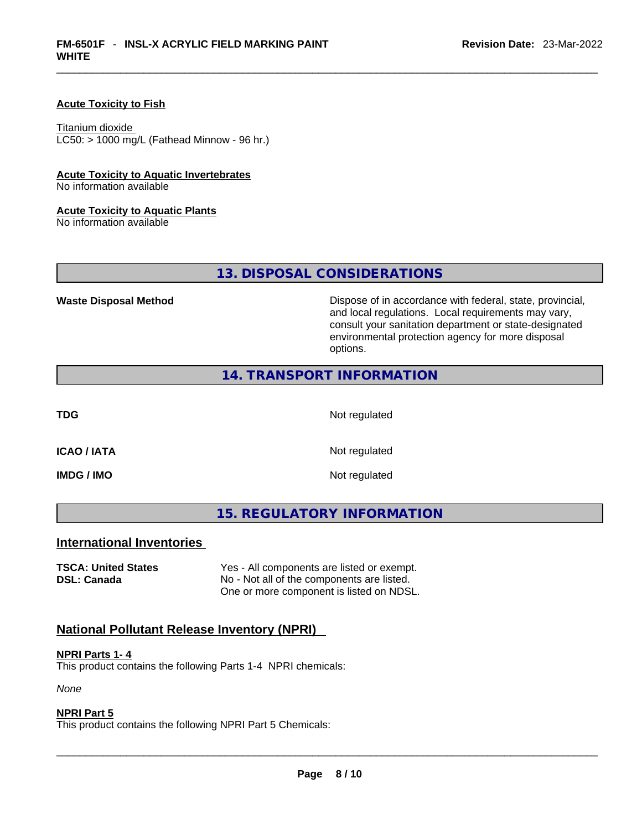#### **Acute Toxicity to Fish**

Titanium dioxide  $LC50: > 1000$  mg/L (Fathead Minnow - 96 hr.)

#### **Acute Toxicity to Aquatic Invertebrates**

No information available

#### **Acute Toxicity to Aquatic Plants**

No information available

**13. DISPOSAL CONSIDERATIONS** 

**Waste Disposal Method** Dispose of in accordance with federal, state, provincial, and local regulations. Local requirements may vary, consult your sanitation department or state-designated environmental protection agency for more disposal options.

#### **14. TRANSPORT INFORMATION**

**TDG** Not regulated

**IMDG / IMO** Not regulated

**ICAO / IATA** Not regulated

**15. REGULATORY INFORMATION** 

#### **International Inventories**

**TSCA: United States** Yes - All components are listed or exempt. **DSL: Canada** No - Not all of the components are listed. One or more component is listed on NDSL.

#### **National Pollutant Release Inventory (NPRI)**

#### **NPRI Parts 1- 4**

This product contains the following Parts 1-4 NPRI chemicals:

*None*

#### **NPRI Part 5**

This product contains the following NPRI Part 5 Chemicals: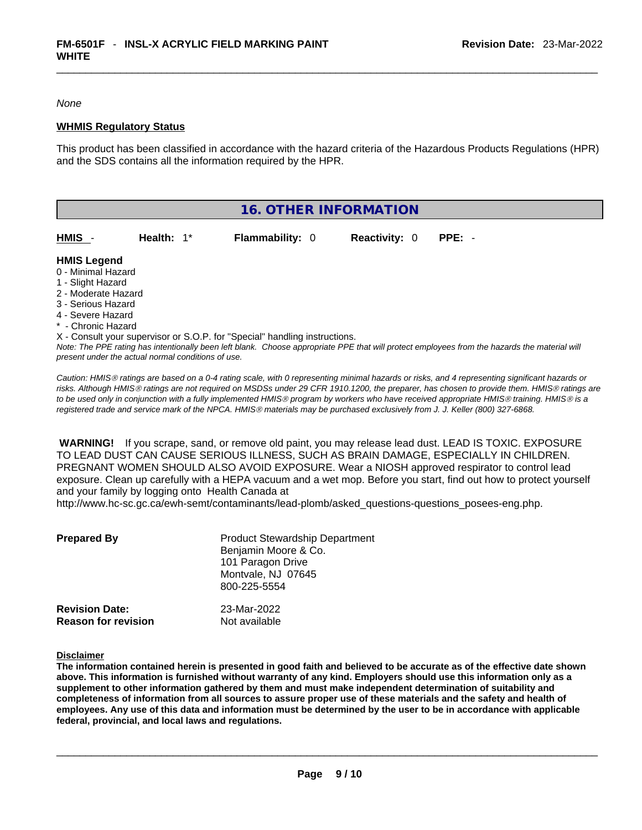*None*

#### **WHMIS Regulatory Status**

This product has been classified in accordance with the hazard criteria of the Hazardous Products Regulations (HPR) and the SDS contains all the information required by the HPR.

|                     |            | 16. OTHER INFORMATION                                                      |                      |                                                                                                                                               |
|---------------------|------------|----------------------------------------------------------------------------|----------------------|-----------------------------------------------------------------------------------------------------------------------------------------------|
|                     |            |                                                                            |                      |                                                                                                                                               |
| HMIS -              | Health: 1* | <b>Flammability: 0</b>                                                     | <b>Reactivity: 0</b> | $PPE: -$                                                                                                                                      |
| <b>HMIS Legend</b>  |            |                                                                            |                      |                                                                                                                                               |
| 0 - Minimal Hazard  |            |                                                                            |                      |                                                                                                                                               |
| 1 - Slight Hazard   |            |                                                                            |                      |                                                                                                                                               |
| 2 - Moderate Hazard |            |                                                                            |                      |                                                                                                                                               |
| 3 - Serious Hazard  |            |                                                                            |                      |                                                                                                                                               |
| 4 - Severe Hazard   |            |                                                                            |                      |                                                                                                                                               |
| * - Chronic Hazard  |            |                                                                            |                      |                                                                                                                                               |
|                     |            | X - Consult your supervisor or S.O.P. for "Special" handling instructions. |                      |                                                                                                                                               |
|                     |            |                                                                            |                      | Note: The PPE rating has intentionally been left blank. Choose appropriate PPE that will protect employees from the hazards the material will |

*present under the actual normal conditions of use.* 

*Caution: HMISÒ ratings are based on a 0-4 rating scale, with 0 representing minimal hazards or risks, and 4 representing significant hazards or risks. Although HMISÒ ratings are not required on MSDSs under 29 CFR 1910.1200, the preparer, has chosen to provide them. HMISÒ ratings are to be used only in conjunction with a fully implemented HMISÒ program by workers who have received appropriate HMISÒ training. HMISÒ is a registered trade and service mark of the NPCA. HMISÒ materials may be purchased exclusively from J. J. Keller (800) 327-6868.* 

 **WARNING!** If you scrape, sand, or remove old paint, you may release lead dust. LEAD IS TOXIC. EXPOSURE TO LEAD DUST CAN CAUSE SERIOUS ILLNESS, SUCH AS BRAIN DAMAGE, ESPECIALLY IN CHILDREN. PREGNANT WOMEN SHOULD ALSO AVOID EXPOSURE.Wear a NIOSH approved respirator to control lead exposure. Clean up carefully with a HEPA vacuum and a wet mop. Before you start, find out how to protect yourself and your family by logging onto Health Canada at http://www.hc-sc.gc.ca/ewh-semt/contaminants/lead-plomb/asked\_questions-questions\_posees-eng.php.

| <b>Prepared By</b>                                  | <b>Product Stewardship Department</b><br>Benjamin Moore & Co.<br>101 Paragon Drive<br>Montvale, NJ 07645<br>800-225-5554 |  |
|-----------------------------------------------------|--------------------------------------------------------------------------------------------------------------------------|--|
| <b>Revision Date:</b><br><b>Reason for revision</b> | 23-Mar-2022<br>Not available                                                                                             |  |

**Disclaimer**

The information contained herein is presented in good faith and believed to be accurate as of the effective date shown above. This information is furnished without warranty of any kind. Employers should use this information only as a **supplement to other information gathered by them and must make independent determination of suitability and** completeness of information from all sources to assure proper use of these materials and the safety and health of employees. Any use of this data and information must be determined by the user to be in accordance with applicable **federal, provincial, and local laws and regulations.**